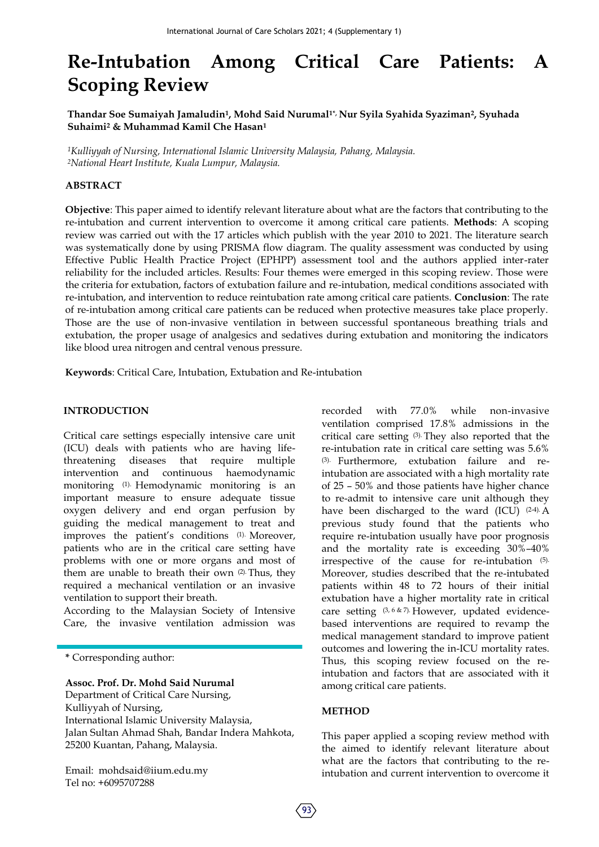# **Re-Intubation Among Critical Care Patients: A Scoping Review**

**Thandar Soe Sumaiyah Jamaludin1, Mohd Said Nurumal1\*, Nur Syila Syahida Syaziman2, Syuhada Suhaimi<sup>2</sup> & Muhammad Kamil Che Hasan<sup>1</sup>**

*<sup>1</sup>Kulliyyah of Nursing, International Islamic University Malaysia, Pahang, Malaysia. <sup>2</sup>National Heart Institute, Kuala Lumpur, Malaysia.*

#### **ABSTRACT**

**Objective**: This paper aimed to identify relevant literature about what are the factors that contributing to the re-intubation and current intervention to overcome it among critical care patients. **Methods**: A scoping review was carried out with the 17 articles which publish with the year 2010 to 2021. The literature search was systematically done by using PRISMA flow diagram. The quality assessment was conducted by using Effective Public Health Practice Project (EPHPP) assessment tool and the authors applied inter-rater reliability for the included articles. Results: Four themes were emerged in this scoping review. Those were the criteria for extubation, factors of extubation failure and re-intubation, medical conditions associated with re-intubation, and intervention to reduce reintubation rate among critical care patients. **Conclusion**: The rate of re-intubation among critical care patients can be reduced when protective measures take place properly. Those are the use of non-invasive ventilation in between successful spontaneous breathing trials and extubation, the proper usage of analgesics and sedatives during extubation and monitoring the indicators like blood urea nitrogen and central venous pressure.

**Keywords**: Critical Care, Intubation, Extubation and Re-intubation

#### **INTRODUCTION**

Critical care settings especially intensive care unit (ICU) deals with patients who are having lifethreatening diseases that require multiple intervention and continuous haemodynamic monitoring (1). Hemodynamic monitoring is an important measure to ensure adequate tissue oxygen delivery and end organ perfusion by guiding the medical management to treat and improves the patient's conditions (1). Moreover, patients who are in the critical care setting have problems with one or more organs and most of them are unable to breath their own (2). Thus, they required a mechanical ventilation or an invasive ventilation to support their breath.

According to the Malaysian Society of Intensive Care, the invasive ventilation admission was

**\*** Corresponding author:

**Assoc. Prof. Dr. Mohd Said Nurumal**

Department of Critical Care Nursing, Kulliyyah of Nursing, International Islamic University Malaysia, Jalan Sultan Ahmad Shah, Bandar Indera Mahkota, 25200 Kuantan, Pahang, Malaysia.

Email: mohdsaid@iium.edu.my Tel no: +6095707288

recorded with 77.0% while non-invasive ventilation comprised 17.8% admissions in the critical care setting (3). They also reported that the re-intubation rate in critical care setting was 5.6% (3). Furthermore, extubation failure and reintubation are associated with a high mortality rate of 25 – 50% and those patients have higher chance to re-admit to intensive care unit although they have been discharged to the ward (ICU) (2-4). A previous study found that the patients who require re-intubation usually have poor prognosis and the mortality rate is exceeding 30%–40% irrespective of the cause for re-intubation (5). Moreover, studies described that the re-intubated patients within 48 to 72 hours of their initial extubation have a higher mortality rate in critical care setting (3, 6 & 7). However, updated evidencebased interventions are required to revamp the medical management standard to improve patient outcomes and lowering the in-ICU mortality rates. Thus, this scoping review focused on the reintubation and factors that are associated with it among critical care patients.

#### **METHOD**

This paper applied a scoping review method with the aimed to identify relevant literature about what are the factors that contributing to the reintubation and current intervention to overcome it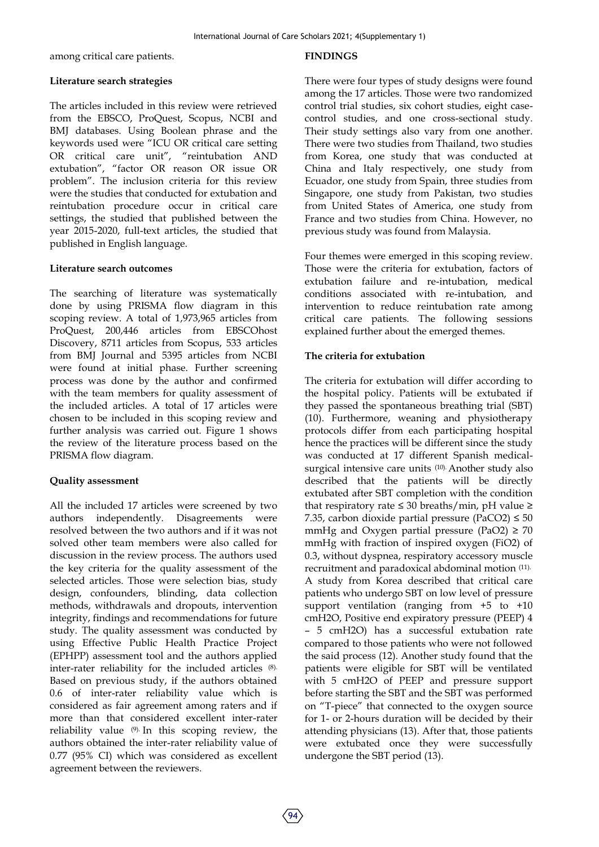among critical care patients.

#### **FINDINGS**

### **Literature search strategies**

The articles included in this review were retrieved from the EBSCO, ProQuest, Scopus, NCBI and BMJ databases. Using Boolean phrase and the keywords used were "ICU OR critical care setting OR critical care unit", "reintubation AND extubation", "factor OR reason OR issue OR problem". The inclusion criteria for this review were the studies that conducted for extubation and reintubation procedure occur in critical care settings, the studied that published between the year 2015-2020, full-text articles, the studied that published in English language.

### **Literature search outcomes**

The searching of literature was systematically done by using PRISMA flow diagram in this scoping review. A total of 1,973,965 articles from ProQuest, 200,446 articles from EBSCOhost Discovery, 8711 articles from Scopus, 533 articles from BMJ Journal and 5395 articles from NCBI were found at initial phase. Further screening process was done by the author and confirmed with the team members for quality assessment of the included articles. A total of 17 articles were chosen to be included in this scoping review and further analysis was carried out. Figure 1 shows the review of the literature process based on the PRISMA flow diagram.

## **Quality assessment**

All the included 17 articles were screened by two authors independently. Disagreements were resolved between the two authors and if it was not solved other team members were also called for discussion in the review process. The authors used the key criteria for the quality assessment of the selected articles. Those were selection bias, study design, confounders, blinding, data collection methods, withdrawals and dropouts, intervention integrity, findings and recommendations for future study. The quality assessment was conducted by using Effective Public Health Practice Project (EPHPP) assessment tool and the authors applied inter-rater reliability for the included articles (8). Based on previous study, if the authors obtained 0.6 of inter-rater reliability value which is considered as fair agreement among raters and if more than that considered excellent inter-rater reliability value (9). In this scoping review, the authors obtained the inter-rater reliability value of 0.77 (95% CI) which was considered as excellent agreement between the reviewers.

There were four types of study designs were found among the 17 articles. Those were two randomized control trial studies, six cohort studies, eight casecontrol studies, and one cross-sectional study. Their study settings also vary from one another. There were two studies from Thailand, two studies from Korea, one study that was conducted at China and Italy respectively, one study from Ecuador, one study from Spain, three studies from Singapore, one study from Pakistan, two studies from United States of America, one study from France and two studies from China. However, no previous study was found from Malaysia.

Four themes were emerged in this scoping review. Those were the criteria for extubation, factors of extubation failure and re-intubation, medical conditions associated with re-intubation, and intervention to reduce reintubation rate among critical care patients. The following sessions explained further about the emerged themes.

## **The criteria for extubation**

The criteria for extubation will differ according to the hospital policy. Patients will be extubated if they passed the spontaneous breathing trial (SBT) (10). Furthermore, weaning and physiotherapy protocols differ from each participating hospital hence the practices will be different since the study was conducted at 17 different Spanish medicalsurgical intensive care units (10). Another study also described that the patients will be directly extubated after SBT completion with the condition that respiratory rate ≤ 30 breaths/min, pH value ≥ 7.35, carbon dioxide partial pressure (PaCO2)  $\leq 50$ mmHg and Oxygen partial pressure (PaO2)  $\geq$  70 mmHg with fraction of inspired oxygen (FiO2) of 0.3, without dyspnea, respiratory accessory muscle recruitment and paradoxical abdominal motion (11). A study from Korea described that critical care patients who undergo SBT on low level of pressure support ventilation (ranging from +5 to +10 cmH2O, Positive end expiratory pressure (PEEP) 4 – 5 cmH2O) has a successful extubation rate compared to those patients who were not followed the said process (12). Another study found that the patients were eligible for SBT will be ventilated with 5 cmH2O of PEEP and pressure support before starting the SBT and the SBT was performed on "T-piece" that connected to the oxygen source for 1- or 2-hours duration will be decided by their attending physicians (13). After that, those patients were extubated once they were successfully undergone the SBT period (13).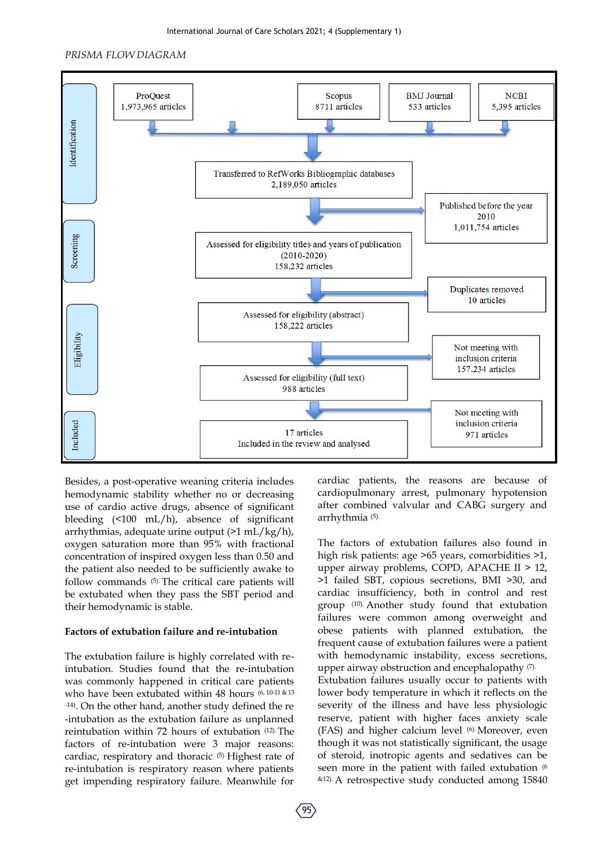International Journal of Care Scholars 2021; 4 (Supplementary 1)

#### *PRISMA FLOW DIAGRAM*



Besides, a post-operative weaning criteria includes hemodynamic stability whether no or decreasing use of cardio active drugs, absence of significant bleeding (<100 mL/h), absence of significant arrhythmias, adequate urine output (>1 mL/kg/h), oxygen saturation more than 95% with fractional concentration of inspired oxygen less than 0.50 and the patient also needed to be sufficiently awake to follow commands (5). The critical care patients will be extubated when they pass the SBT period and their hemodynamic is stable.

#### **Factors of extubation failure and re-intubation**

The extubation failure is highly correlated with reintubation. Studies found that the re-intubation was commonly happened in critical care patients who have been extubated within 48 hours  $(6, 10-11)$  & 13 -14). On the other hand, another study defined the re -intubation as the extubation failure as unplanned reintubation within 72 hours of extubation (12). The factors of re-intubation were 3 major reasons: cardiac, respiratory and thoracic (5). Highest rate of re-intubation is respiratory reason where patients get impending respiratory failure. Meanwhile for

cardiac patients, the reasons are because of cardiopulmonary arrest, pulmonary hypotension after combined valvular and CABG surgery and arrhythmia (5).

The factors of extubation failures also found in high risk patients: age >65 years, comorbidities >1, upper airway problems, COPD, APACHE II > 12, >1 failed SBT, copious secretions, BMI >30, and cardiac insufficiency, both in control and rest group (10). Another study found that extubation failures were common among overweight and obese patients with planned extubation, the frequent cause of extubation failures were a patient with hemodynamic instability, excess secretions, upper airway obstruction and encephalopathy (7). Extubation failures usually occur to patients with lower body temperature in which it reflects on the severity of the illness and have less physiologic reserve, patient with higher faces anxiety scale (FAS) and higher calcium level (6). Moreover, even though it was not statistically significant, the usage of steroid, inotropic agents and sedatives can be seen more in the patient with failed extubation  $(6)$ &12). A retrospective study conducted among 15840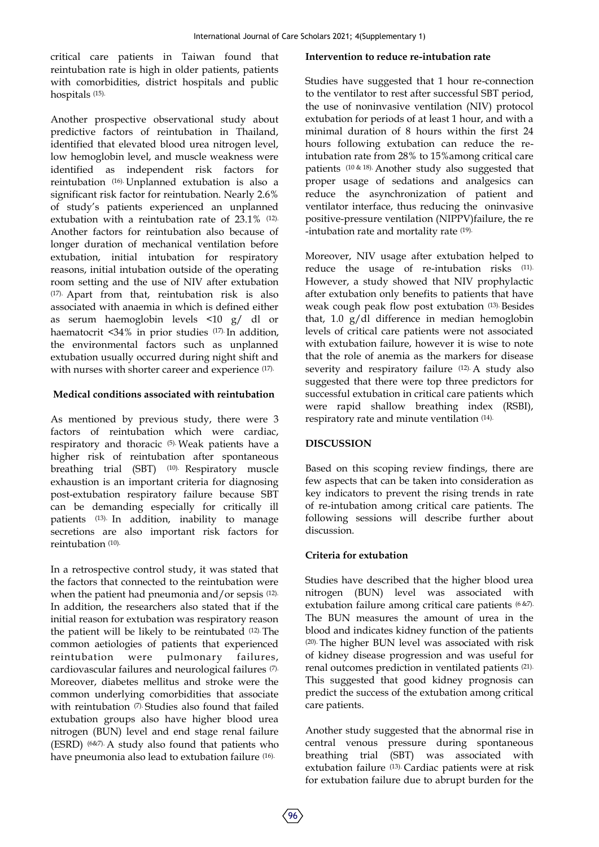critical care patients in Taiwan found that reintubation rate is high in older patients, patients with comorbidities, district hospitals and public hospitals (15).

Another prospective observational study about predictive factors of reintubation in Thailand, identified that elevated blood urea nitrogen level, low hemoglobin level, and muscle weakness were identified as independent risk factors for reintubation (16). Unplanned extubation is also a significant risk factor for reintubation. Nearly 2.6% of study's patients experienced an unplanned extubation with a reintubation rate of 23.1% (12). Another factors for reintubation also because of longer duration of mechanical ventilation before extubation, initial intubation for respiratory reasons, initial intubation outside of the operating room setting and the use of NIV after extubation (17). Apart from that, reintubation risk is also associated with anaemia in which is defined either as serum haemoglobin levels <10 g/ dl or haematocrit <34% in prior studies (17). In addition, the environmental factors such as unplanned extubation usually occurred during night shift and with nurses with shorter career and experience (17).

## **Medical conditions associated with reintubation**

As mentioned by previous study, there were 3 factors of reintubation which were cardiac, respiratory and thoracic (5). Weak patients have a higher risk of reintubation after spontaneous breathing trial (SBT) <sup>(10)</sup>. Respiratory muscle exhaustion is an important criteria for diagnosing post-extubation respiratory failure because SBT can be demanding especially for critically ill patients (13). In addition, inability to manage secretions are also important risk factors for reintubation (10).

In a retrospective control study, it was stated that the factors that connected to the reintubation were when the patient had pneumonia and/or sepsis (12). In addition, the researchers also stated that if the initial reason for extubation was respiratory reason the patient will be likely to be reintubated (12). The common aetiologies of patients that experienced reintubation were pulmonary failures, cardiovascular failures and neurological failures (7). Moreover, diabetes mellitus and stroke were the common underlying comorbidities that associate with reintubation (7). Studies also found that failed extubation groups also have higher blood urea nitrogen (BUN) level and end stage renal failure (ESRD) (6&7). A study also found that patients who have pneumonia also lead to extubation failure (16).

#### **Intervention to reduce re-intubation rate**

Studies have suggested that 1 hour re-connection to the ventilator to rest after successful SBT period, the use of noninvasive ventilation (NIV) protocol extubation for periods of at least 1 hour, and with a minimal duration of 8 hours within the first 24 hours following extubation can reduce the reintubation rate from 28% to 15%among critical care patients (10 & 18). Another study also suggested that proper usage of sedations and analgesics can reduce the asynchronization of patient and ventilator interface, thus reducing the oninvasive positive-pressure ventilation (NIPPV)failure, the re -intubation rate and mortality rate (19).

Moreover, NIV usage after extubation helped to reduce the usage of re-intubation risks (11). However, a study showed that NIV prophylactic after extubation only benefits to patients that have weak cough peak flow post extubation (13). Besides that, 1.0 g/dl difference in median hemoglobin levels of critical care patients were not associated with extubation failure, however it is wise to note that the role of anemia as the markers for disease severity and respiratory failure (12). A study also suggested that there were top three predictors for successful extubation in critical care patients which were rapid shallow breathing index (RSBI), respiratory rate and minute ventilation (14).

## **DISCUSSION**

Based on this scoping review findings, there are few aspects that can be taken into consideration as key indicators to prevent the rising trends in rate of re-intubation among critical care patients. The following sessions will describe further about discussion.

## **Criteria for extubation**

Studies have described that the higher blood urea nitrogen (BUN) level was associated with extubation failure among critical care patients (6 &7). The BUN measures the amount of urea in the blood and indicates kidney function of the patients (20). The higher BUN level was associated with risk of kidney disease progression and was useful for renal outcomes prediction in ventilated patients (21). This suggested that good kidney prognosis can predict the success of the extubation among critical care patients.

Another study suggested that the abnormal rise in central venous pressure during spontaneous breathing trial (SBT) was associated with extubation failure (13). Cardiac patients were at risk for extubation failure due to abrupt burden for the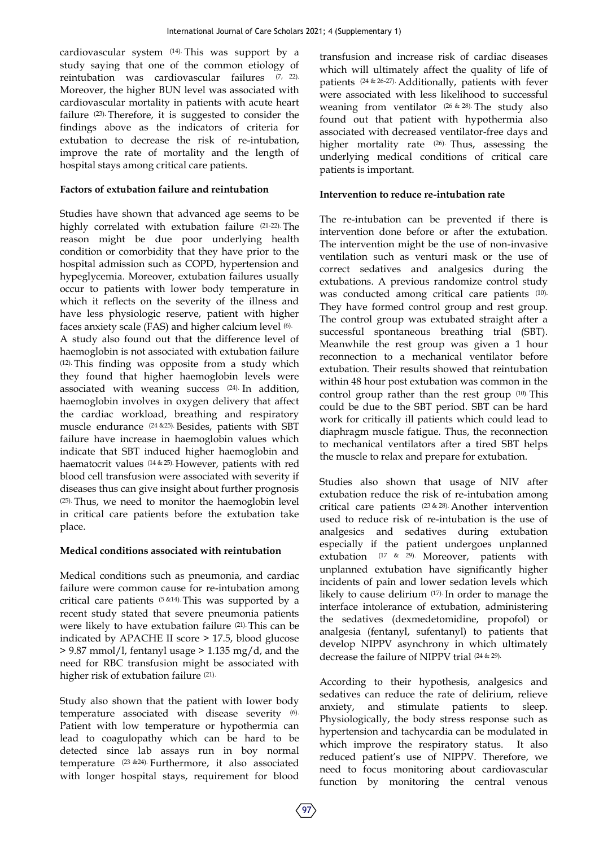cardiovascular system (14). This was support by a study saying that one of the common etiology of reintubation was cardiovascular failures (7, 22). Moreover, the higher BUN level was associated with cardiovascular mortality in patients with acute heart failure (23). Therefore, it is suggested to consider the findings above as the indicators of criteria for extubation to decrease the risk of re-intubation, improve the rate of mortality and the length of hospital stays among critical care patients.

## **Factors of extubation failure and reintubation**

Studies have shown that advanced age seems to be highly correlated with extubation failure (21-22). The reason might be due poor underlying health condition or comorbidity that they have prior to the hospital admission such as COPD, hypertension and hypeglycemia. Moreover, extubation failures usually occur to patients with lower body temperature in which it reflects on the severity of the illness and have less physiologic reserve, patient with higher faces anxiety scale (FAS) and higher calcium level (6). A study also found out that the difference level of haemoglobin is not associated with extubation failure (12). This finding was opposite from a study which they found that higher haemoglobin levels were associated with weaning success (24). In addition, haemoglobin involves in oxygen delivery that affect the cardiac workload, breathing and respiratory muscle endurance (24 &25). Besides, patients with SBT failure have increase in haemoglobin values which indicate that SBT induced higher haemoglobin and haematocrit values (14 & 25). However, patients with red blood cell transfusion were associated with severity if diseases thus can give insight about further prognosis (25). Thus, we need to monitor the haemoglobin level in critical care patients before the extubation take place.

## **Medical conditions associated with reintubation**

Medical conditions such as pneumonia, and cardiac failure were common cause for re-intubation among critical care patients (5 &14). This was supported by a recent study stated that severe pneumonia patients were likely to have extubation failure (21). This can be indicated by APACHE II score > 17.5, blood glucose > 9.87 mmol/l, fentanyl usage > 1.135 mg/d, and the need for RBC transfusion might be associated with higher risk of extubation failure (21).

Study also shown that the patient with lower body temperature associated with disease severity (6). Patient with low temperature or hypothermia can lead to coagulopathy which can be hard to be detected since lab assays run in boy normal temperature (23 &24). Furthermore, it also associated with longer hospital stays, requirement for blood

transfusion and increase risk of cardiac diseases which will ultimately affect the quality of life of patients (24 & 26-27). Additionally, patients with fever were associated with less likelihood to successful weaning from ventilator (26 & 28). The study also found out that patient with hypothermia also associated with decreased ventilator-free days and higher mortality rate (26). Thus, assessing the underlying medical conditions of critical care patients is important.

## **Intervention to reduce re-intubation rate**

The re-intubation can be prevented if there is intervention done before or after the extubation. The intervention might be the use of non-invasive ventilation such as venturi mask or the use of correct sedatives and analgesics during the extubations. A previous randomize control study was conducted among critical care patients (10). They have formed control group and rest group. The control group was extubated straight after a successful spontaneous breathing trial (SBT). Meanwhile the rest group was given a 1 hour reconnection to a mechanical ventilator before extubation. Their results showed that reintubation within 48 hour post extubation was common in the control group rather than the rest group (10). This could be due to the SBT period. SBT can be hard work for critically ill patients which could lead to diaphragm muscle fatigue. Thus, the reconnection to mechanical ventilators after a tired SBT helps the muscle to relax and prepare for extubation.

Studies also shown that usage of NIV after extubation reduce the risk of re-intubation among critical care patients (23 & 28). Another intervention used to reduce risk of re-intubation is the use of analgesics and sedatives during extubation especially if the patient undergoes unplanned extubation (17 & 29). Moreover, patients with unplanned extubation have significantly higher incidents of pain and lower sedation levels which likely to cause delirium (17). In order to manage the interface intolerance of extubation, administering the sedatives (dexmedetomidine, propofol) or analgesia (fentanyl, sufentanyl) to patients that develop NIPPV asynchrony in which ultimately decrease the failure of NIPPV trial (24 & 29).

According to their hypothesis, analgesics and sedatives can reduce the rate of delirium, relieve anxiety, and stimulate patients to sleep. Physiologically, the body stress response such as hypertension and tachycardia can be modulated in which improve the respiratory status. It also reduced patient's use of NIPPV. Therefore, we need to focus monitoring about cardiovascular function by monitoring the central venous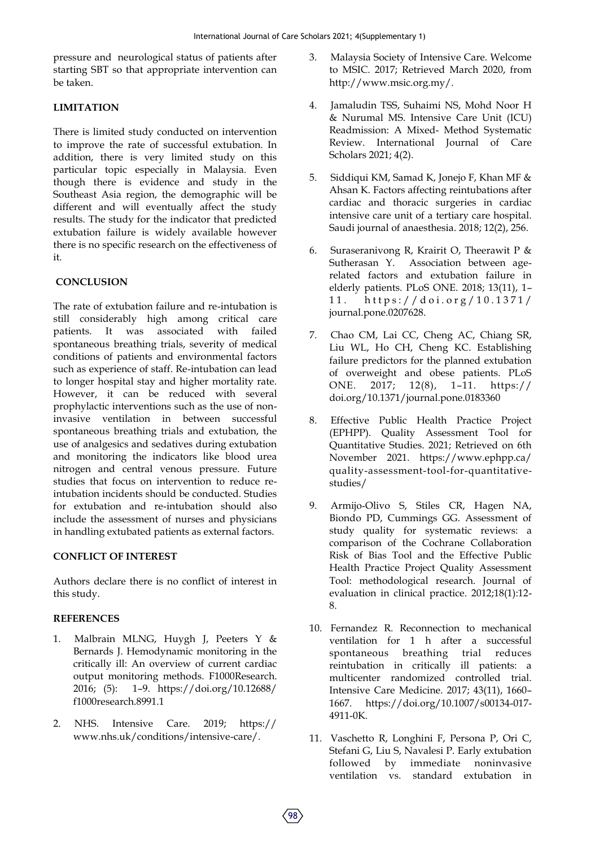pressure and neurological status of patients after starting SBT so that appropriate intervention can be taken.

## **LIMITATION**

There is limited study conducted on intervention to improve the rate of successful extubation. In addition, there is very limited study on this particular topic especially in Malaysia. Even though there is evidence and study in the Southeast Asia region, the demographic will be different and will eventually affect the study results. The study for the indicator that predicted extubation failure is widely available however there is no specific research on the effectiveness of it.

## **CONCLUSION**

The rate of extubation failure and re-intubation is still considerably high among critical care patients. It was associated with failed spontaneous breathing trials, severity of medical conditions of patients and environmental factors such as experience of staff. Re-intubation can lead to longer hospital stay and higher mortality rate. However, it can be reduced with several prophylactic interventions such as the use of noninvasive ventilation in between successful spontaneous breathing trials and extubation, the use of analgesics and sedatives during extubation and monitoring the indicators like blood urea nitrogen and central venous pressure. Future studies that focus on intervention to reduce reintubation incidents should be conducted. Studies for extubation and re-intubation should also include the assessment of nurses and physicians in handling extubated patients as external factors.

## **CONFLICT OF INTEREST**

Authors declare there is no conflict of interest in this study.

## **REFERENCES**

- 1. Malbrain MLNG, Huygh J, Peeters Y & Bernards J. Hemodynamic monitoring in the critically ill: An overview of current cardiac output monitoring methods. F1000Research. 2016; (5): 1–9. https://doi.org/10.12688/ f1000research.8991.1
- 2. NHS. Intensive Care. 2019; https:// www.nhs.uk/conditions/intensive-care/.
- 3. Malaysia Society of Intensive Care. Welcome to MSIC. 2017; Retrieved March 2020, from http://www.msic.org.my/.
- 4. Jamaludin TSS, Suhaimi NS, Mohd Noor H & Nurumal MS. Intensive Care Unit (ICU) Readmission: A Mixed- Method Systematic Review. International Journal of Care Scholars 2021; 4(2).
- 5. Siddiqui KM, Samad K, Jonejo F, Khan MF & Ahsan K. Factors affecting reintubations after cardiac and thoracic surgeries in cardiac intensive care unit of a tertiary care hospital. Saudi journal of anaesthesia. 2018; 12(2), 256.
- 6. Suraseranivong R, Krairit O, Theerawit P & Sutherasan Y. Association between agerelated factors and extubation failure in elderly patients. PLoS ONE. 2018; 13(11), 1– 11. https://doi.org/10.1371/ journal.pone.0207628.
- 7. Chao CM, Lai CC, Cheng AC, Chiang SR, Liu WL, Ho CH, Cheng KC. Establishing failure predictors for the planned extubation of overweight and obese patients. PLoS ONE. 2017; 12(8), 1–11. https:// doi.org/10.1371/journal.pone.0183360
- 8. Effective Public Health Practice Project (EPHPP). Quality Assessment Tool for Quantitative Studies. 2021; Retrieved on 6th November 2021. https://www.ephpp.ca/ quality-assessment-tool-for-quantitativestudies/
- 9. Armijo‐Olivo S, Stiles CR, Hagen NA, Biondo PD, Cummings GG. Assessment of study quality for systematic reviews: a comparison of the Cochrane Collaboration Risk of Bias Tool and the Effective Public Health Practice Project Quality Assessment Tool: methodological research. Journal of evaluation in clinical practice. 2012;18(1):12- 8.
- 10. Fernandez R. Reconnection to mechanical ventilation for 1 h after a successful spontaneous breathing trial reduces reintubation in critically ill patients: a multicenter randomized controlled trial. Intensive Care Medicine. 2017; 43(11), 1660– 1667. https://doi.org/10.1007/s00134-017- 4911-0K.
- 11. Vaschetto R, Longhini F, Persona P, Ori C, Stefani G, Liu S, Navalesi P. Early extubation followed by immediate noninvasive ventilation vs. standard extubation in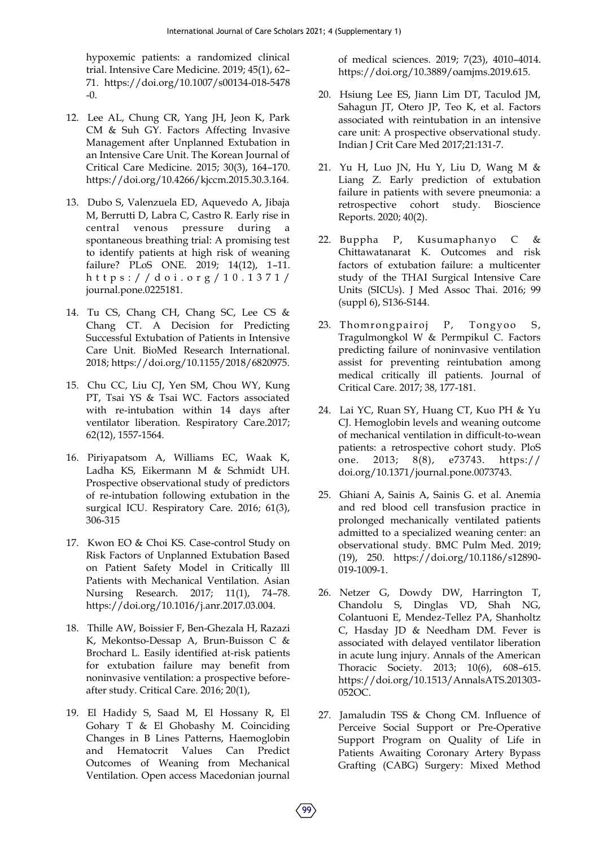hypoxemic patients: a randomized clinical trial. Intensive Care Medicine. 2019; 45(1), 62– 71. https://doi.org/10.1007/s00134-018-5478 -0.

- 12. Lee AL, Chung CR, Yang JH, Jeon K, Park CM & Suh GY. Factors Affecting Invasive Management after Unplanned Extubation in an Intensive Care Unit. The Korean Journal of Critical Care Medicine. 2015; 30(3), 164–170. https://doi.org/10.4266/kjccm.2015.30.3.164.
- 13. Dubo S, Valenzuela ED, Aquevedo A, Jibaja M, Berrutti D, Labra C, Castro R. Early rise in central venous pressure during a spontaneous breathing trial: A promising test to identify patients at high risk of weaning failure? PLoS ONE. 2019; 14(12), 1–11. h t t p s : / / d o i . o r g / 1 0 . 1 3 7 1 / journal.pone.0225181.
- 14. Tu CS, Chang CH, Chang SC, Lee CS & Chang CT. A Decision for Predicting Successful Extubation of Patients in Intensive Care Unit. BioMed Research International. 2018; https://doi.org/10.1155/2018/6820975.
- 15. Chu CC, Liu CJ, Yen SM, Chou WY, Kung PT, Tsai YS & Tsai WC. Factors associated with re-intubation within 14 days after ventilator liberation. Respiratory Care.2017; 62(12), 1557-1564.
- 16. Piriyapatsom A, Williams EC, Waak K, Ladha KS, Eikermann M & Schmidt UH. Prospective observational study of predictors of re-intubation following extubation in the surgical ICU. Respiratory Care. 2016; 61(3), 306-315
- 17. Kwon EO & Choi KS. Case-control Study on Risk Factors of Unplanned Extubation Based on Patient Safety Model in Critically Ill Patients with Mechanical Ventilation. Asian Nursing Research. 2017; 11(1), 74–78. https://doi.org/10.1016/j.anr.2017.03.004.
- 18. Thille AW, Boissier F, Ben-Ghezala H, Razazi K, Mekontso-Dessap A, Brun-Buisson C & Brochard L. Easily identified at-risk patients for extubation failure may benefit from noninvasive ventilation: a prospective beforeafter study. Critical Care. 2016; 20(1),
- 19. El Hadidy S, Saad M, El Hossany R, El Gohary T & El Ghobashy M. Coinciding Changes in B Lines Patterns, Haemoglobin and Hematocrit Values Can Predict Outcomes of Weaning from Mechanical Ventilation. Open access Macedonian journal

of medical sciences. 2019; 7(23), 4010–4014. https://doi.org/10.3889/oamjms.2019.615.

- 20. Hsiung Lee ES, Jiann Lim DT, Taculod JM, Sahagun JT, Otero JP, Teo K, et al. Factors associated with reintubation in an intensive care unit: A prospective observational study. Indian J Crit Care Med 2017;21:131‑7.
- 21. Yu H, Luo JN, Hu Y, Liu D, Wang M & Liang Z. Early prediction of extubation failure in patients with severe pneumonia: a retrospective cohort study. Bioscience Reports. 2020; 40(2).
- 22. Buppha P, Kusumaphanyo C & Chittawatanarat K. Outcomes and risk factors of extubation failure: a multicenter study of the THAI Surgical Intensive Care Units (SICUs). J Med Assoc Thai. 2016; 99 (suppl 6), S136-S144.
- 23. Thomrongpairoj P, Tongyoo S, Tragulmongkol W & Permpikul C. Factors predicting failure of noninvasive ventilation assist for preventing reintubation among medical critically ill patients. Journal of Critical Care. 2017; 38, 177-181.
- 24. Lai YC, Ruan SY, Huang CT, Kuo PH & Yu CJ. Hemoglobin levels and weaning outcome of mechanical ventilation in difficult-to-wean patients: a retrospective cohort study. PloS one. 2013; 8(8), e73743. https:// doi.org/10.1371/journal.pone.0073743.
- 25. Ghiani A, Sainis A, Sainis G. et al. Anemia and red blood cell transfusion practice in prolonged mechanically ventilated patients admitted to a specialized weaning center: an observational study. BMC Pulm Med. 2019; (19), 250. https://doi.org/10.1186/s12890- 019-1009-1.
- 26. Netzer G, Dowdy DW, Harrington T, Chandolu S, Dinglas VD, Shah NG, Colantuoni E, Mendez-Tellez PA, Shanholtz C, Hasday JD & Needham DM. Fever is associated with delayed ventilator liberation in acute lung injury. Annals of the American Thoracic Society. 2013; 10(6), 608–615. https://doi.org/10.1513/AnnalsATS.201303- 052OC.
- 27. Jamaludin TSS & Chong CM. Influence of Perceive Social Support or Pre-Operative Support Program on Quality of Life in Patients Awaiting Coronary Artery Bypass Grafting (CABG) Surgery: Mixed Method